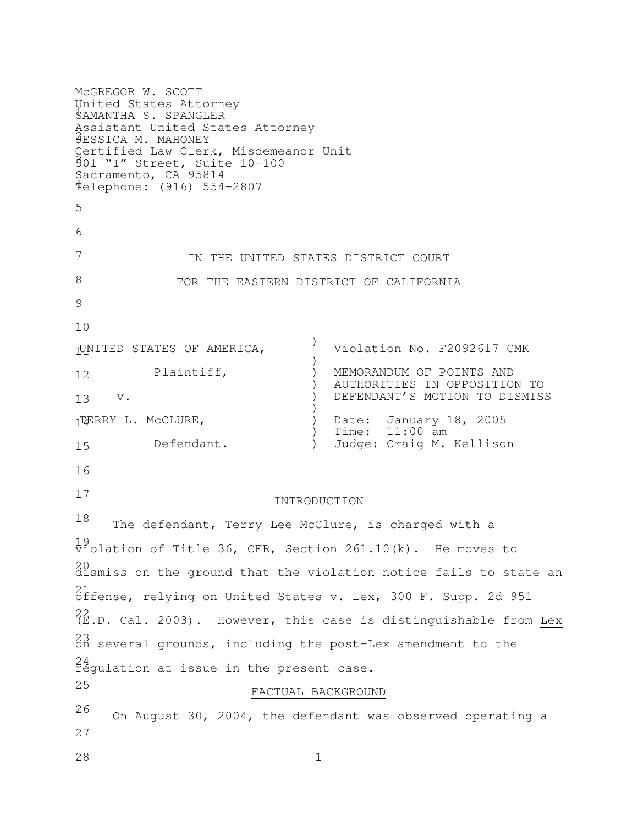SAMANTHA S. SPANGLER 2 JESSICA M. MAHONEY 3 501 "I" Street, Suite 10-100  $\frac{1}{4}$ 5 6 7 8 9 10 11 UNITED STATES OF AMERICA, 12 13 14 TERRY L. McCLURE, 15 16 17 18 19 violation of Title 36, CFR, Section 261.10(k). He moves to 20 dismiss on the ground that the violation notice fails to state an 21 offense, relying on United States v. Lex, 300 F. Supp. 2d 951 22 (E.D. Cal. 2003). However, this case is distinguishable from Lex 23 on several grounds, including the post-Lex amendment to the 24 regulation at issue in the present case. 25 26 27 28 1 McGREGOR W. SCOTT United States Attorney Assistant United States Attorney Certified Law Clerk, Misdemeanor Unit Sacramento, CA 95814 Telephone: (916) 554-2807 IN THE UNITED STATES DISTRICT COURT FOR THE EASTERN DISTRICT OF CALIFORNIA Plaintiff, v. Defendant.  $)$ ) ) MEMORANDUM OF POINTS AND  $)$  $)$  $)$ ) Date: January 18, 2005 ) ) Violation No. F2092617 CMK AUTHORITIES IN OPPOSITION TO DEFENDANT'S MOTION TO DISMISS Time: 11:00 am Judge: Craig M. Kellison INTRODUCTION The defendant, Terry Lee McClure, is charged with a FACTUAL BACKGROUND On August 30, 2004, the defendant was observed operating a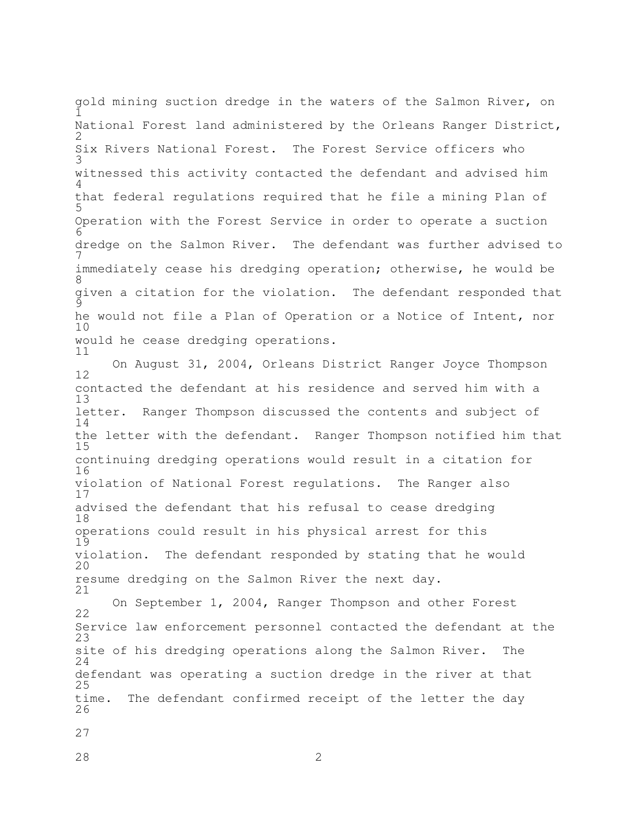$\tilde{1}$ 2 3 4 5 6 7 8 9 10 11 gold mining suction dredge in the waters of the Salmon River, on National Forest land administered by the Orleans Ranger District, Six Rivers National Forest. The Forest Service officers who witnessed this activity contacted the defendant and advised him that federal regulations required that he file a mining Plan of Operation with the Forest Service in order to operate a suction dredge on the Salmon River. The defendant was further advised to immediately cease his dredging operation; otherwise, he would be given a citation for the violation. The defendant responded that he would not file a Plan of Operation or a Notice of Intent, nor would he cease dredging operations.

12 13 14 15 16 17 18 19 20 21 On August 31, 2004, Orleans District Ranger Joyce Thompson contacted the defendant at his residence and served him with a letter. Ranger Thompson discussed the contents and subject of the letter with the defendant. Ranger Thompson notified him that continuing dredging operations would result in a citation for violation of National Forest regulations. The Ranger also advised the defendant that his refusal to cease dredging operations could result in his physical arrest for this violation. The defendant responded by stating that he would resume dredging on the Salmon River the next day.

22 23 24 25 26 On September 1, 2004, Ranger Thompson and other Forest Service law enforcement personnel contacted the defendant at the site of his dredging operations along the Salmon River. The defendant was operating a suction dredge in the river at that time. The defendant confirmed receipt of the letter the day

27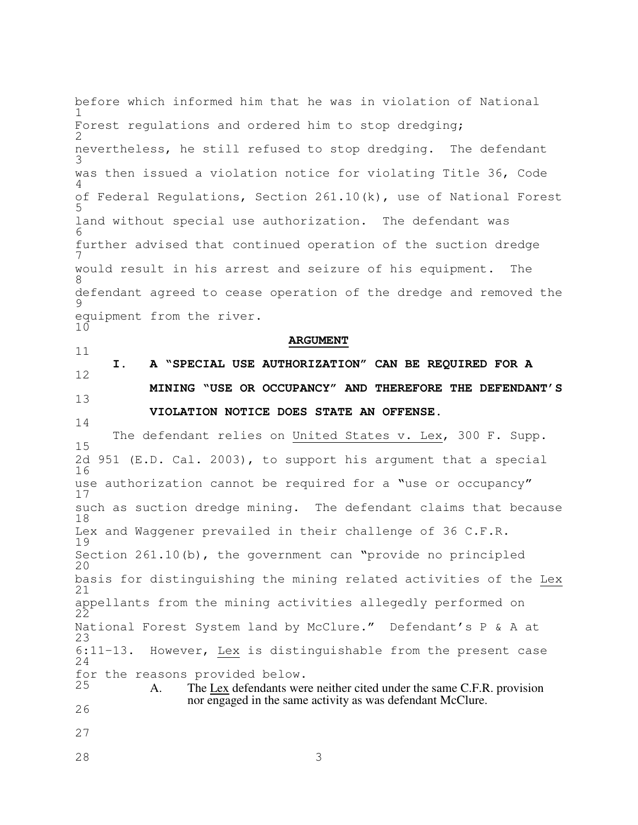1 2 3 4 5 6 7 8 9 10 11 12 13 14 15 16 17 18 19 20 21 22 23 24 25 26 27 before which informed him that he was in violation of National Forest regulations and ordered him to stop dredging; nevertheless, he still refused to stop dredging. The defendant was then issued a violation notice for violating Title 36, Code of Federal Regulations, Section 261.10(k), use of National Forest land without special use authorization. The defendant was further advised that continued operation of the suction dredge would result in his arrest and seizure of his equipment. The defendant agreed to cease operation of the dredge and removed the equipment from the river. **ARGUMENT I. A "SPECIAL USE AUTHORIZATION" CAN BE REQUIRED FOR A MINING "USE OR OCCUPANCY" AND THEREFORE THE DEFENDANT'S VIOLATION NOTICE DOES STATE AN OFFENSE.** The defendant relies on United States v. Lex, 300 F. Supp. 2d 951 (E.D. Cal. 2003), to support his argument that a special use authorization cannot be required for a "use or occupancy" such as suction dredge mining. The defendant claims that because Lex and Waggener prevailed in their challenge of 36 C.F.R. Section 261.10(b), the government can "provide no principled basis for distinguishing the mining related activities of the Lex appellants from the mining activities allegedly performed on National Forest System land by McClure." Defendant's P & A at 6:11-13. However, Lex is distinguishable from the present case for the reasons provided below. A. The Lex defendants were neither cited under the same C.F.R. provision nor engaged in the same activity as was defendant McClure.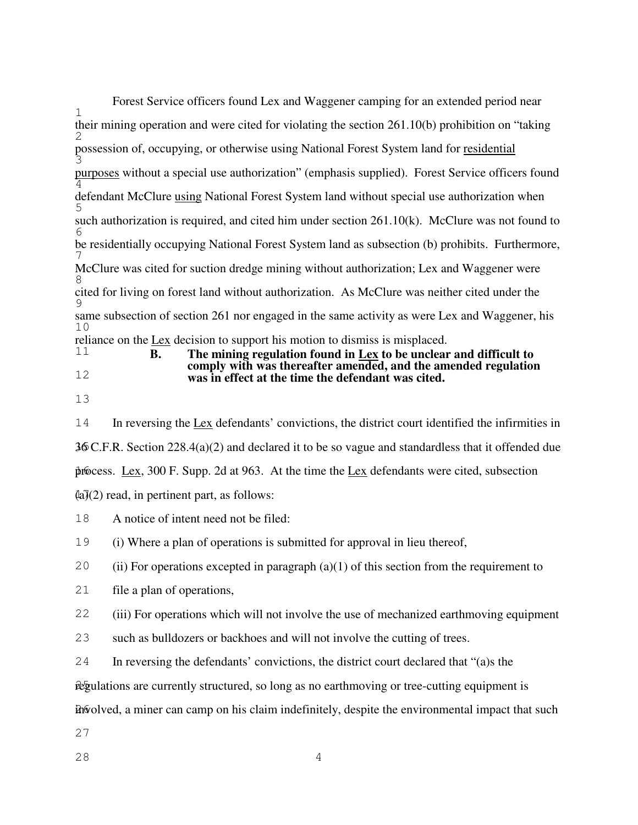| Forest Service officers found Lex and Waggener camping for an extended period near                                                              |
|-------------------------------------------------------------------------------------------------------------------------------------------------|
| $\mathbf{1}$                                                                                                                                    |
| their mining operation and were cited for violating the section $261.10(b)$ prohibition on "taking"                                             |
| possession of, occupying, or otherwise using National Forest System land for residential                                                        |
| purposes without a special use authorization" (emphasis supplied). Forest Service officers found                                                |
| defendant McClure using National Forest System land without special use authorization when                                                      |
| such authorization is required, and cited him under section $261.10(k)$ . McClure was not found to                                              |
| be residentially occupying National Forest System land as subsection (b) prohibits. Furthermore,                                                |
| McClure was cited for suction dredge mining without authorization; Lex and Waggener were                                                        |
| cited for living on forest land without authorization. As McClure was neither cited under the                                                   |
| same subsection of section 261 nor engaged in the same activity as were Lex and Waggener, his<br>10                                             |
| reliance on the Lex decision to support his motion to dismiss is misplaced.                                                                     |
| 11<br>The mining regulation found in Lex to be unclear and difficult to<br>В.<br>comply with was thereafter amended, and the amended regulation |
| 12<br>was in effect at the time the defendant was cited                                                                                         |

- 13
- **was in effect at the time the defendant was cited.**
- 14 15 36 C.F.R. Section 228.4(a)(2) and declared it to be so vague and standardless that it offended due process. Lex, 300 F. Supp. 2d at 963. At the time the Lex defendants were cited, subsection (a)(2) read, in pertinent part, as follows: In reversing the Lex defendants' convictions, the district court identified the infirmities in
- 18 A notice of intent need not be filed:

19 (i) Where a plan of operations is submitted for approval in lieu thereof,

20 (ii) For operations excepted in paragraph  $(a)(1)$  of this section from the requirement to

21 file a plan of operations,

22 (iii) For operations which will not involve the use of mechanized earthmoving equipment

- 23 such as bulldozers or backhoes and will not involve the cutting of trees.
- 24 In reversing the defendants' convictions, the district court declared that "(a)s the

regulations are currently structured, so long as no earthmoving or tree-cutting equipment is

involved, a miner can camp on his claim indefinitely, despite the environmental impact that such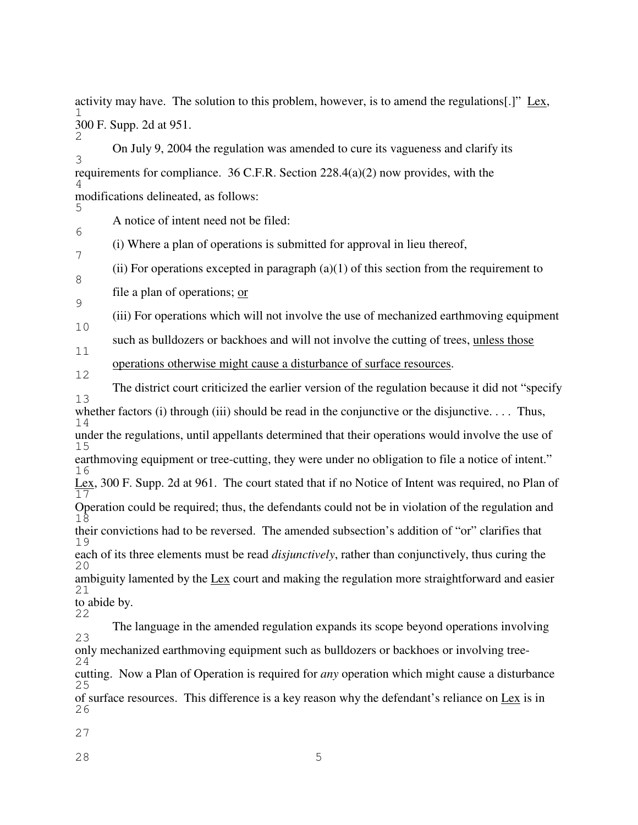1 2 activity may have. The solution to this problem, however, is to amend the regulations[.]" Lex, 300 F. Supp. 2d at 951.

3 4 On July 9, 2004 the regulation was amended to cure its vagueness and clarify its requirements for compliance. 36 C.F.R. Section  $228.4(a)(2)$  now provides, with the modifications delineated, as follows:

5 6 A notice of intent need not be filed:

(i) Where a plan of operations is submitted for approval in lieu thereof,

8 (ii) For operations excepted in paragraph  $(a)(1)$  of this section from the requirement to

9 file a plan of operations; or

7

10 (iii) For operations which will not involve the use of mechanized earthmoving equipment

11 such as bulldozers or backhoes and will not involve the cutting of trees, unless those

12 operations otherwise might cause a disturbance of surface resources.

13 14 15 16 17 18 19 20 21 22 The district court criticized the earlier version of the regulation because it did not "specify whether factors (i) through (iii) should be read in the conjunctive or the disjunctive.... Thus, under the regulations, until appellants determined that their operations would involve the use of earthmoving equipment or tree-cutting, they were under no obligation to file a notice of intent." Lex, 300 F. Supp. 2d at 961. The court stated that if no Notice of Intent was required, no Plan of Operation could be required; thus, the defendants could not be in violation of the regulation and their convictions had to be reversed. The amended subsection's addition of "or" clarifies that each of its three elements must be read *disjunctively*, rather than conjunctively, thus curing the ambiguity lamented by the Lex court and making the regulation more straightforward and easier to abide by.

23 24 25 The language in the amended regulation expands its scope beyond operations involving only mechanized earthmoving equipment such as bulldozers or backhoes or involving treecutting. Now a Plan of Operation is required for *any* operation which might cause a disturbance of surface resources. This difference is a key reason why the defendant's reliance on Lex is in

26

27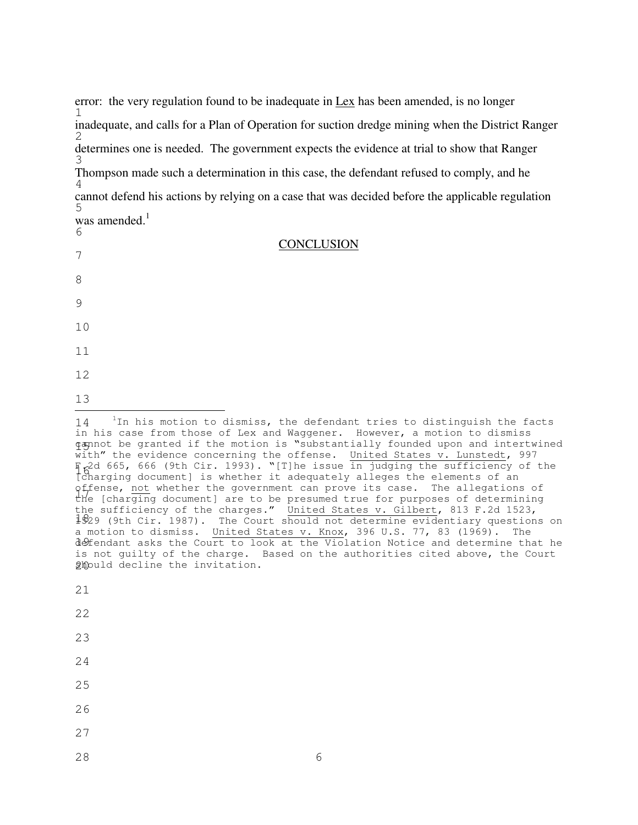1 2 3 4 5 error: the very regulation found to be inadequate in Lex has been amended, is no longer inadequate, and calls for a Plan of Operation for suction dredge mining when the District Ranger determines one is needed. The government expects the evidence at trial to show that Ranger Thompson made such a determination in this case, the defendant refused to comply, and he cannot defend his actions by relying on a case that was decided before the applicable regulation was amended. 1

**CONCLUSION** 

| C<br>was amended. $^{1}$<br>6 |  |
|-------------------------------|--|
| 7                             |  |
| 8                             |  |
| 9                             |  |
| 10                            |  |
| 11                            |  |
| 12                            |  |
| 13                            |  |

21

22

23

- 25
- 
- 26
- 27
- 28 6

<sup>14</sup> 15 cannot be granted if the motion is "substantially founded upon and intertwined F.2d 665, 666 (9th Cir. 1993). "[T]he issue in judging the sufficiency of the<br>Igharging documentl is whether it adocuately allogos the elements of an offense, not whether the government can prove its case. The allegations of<br>the Icharging documentl are to be presumed true for purposes of determining 1829 (9th Cir. 1987). The Court should not determine evidentiary questions on defendant asks the Court to look at the Violation Notice and determine that he ghould decline the invitation.  $1$ In his motion to dismiss, the defendant tries to distinguish the facts in his case from those of Lex and Waggener. However, a motion to dismiss  $\overline{with}$  the evidence concerning the offense. United States v. Lunstedt, 997 [charging document] is whether it adequately alleges the elements of an the [charging document] are to be presumed true for purposes of determining the sufficiency of the charges." United States v. Gilbert, 813 F.2d 1523, a motion to dismiss. United States v. Knox, 396 U.S. 77, 83 (1969). The is not guilty of the charge. Based on the authorities cited above, the Court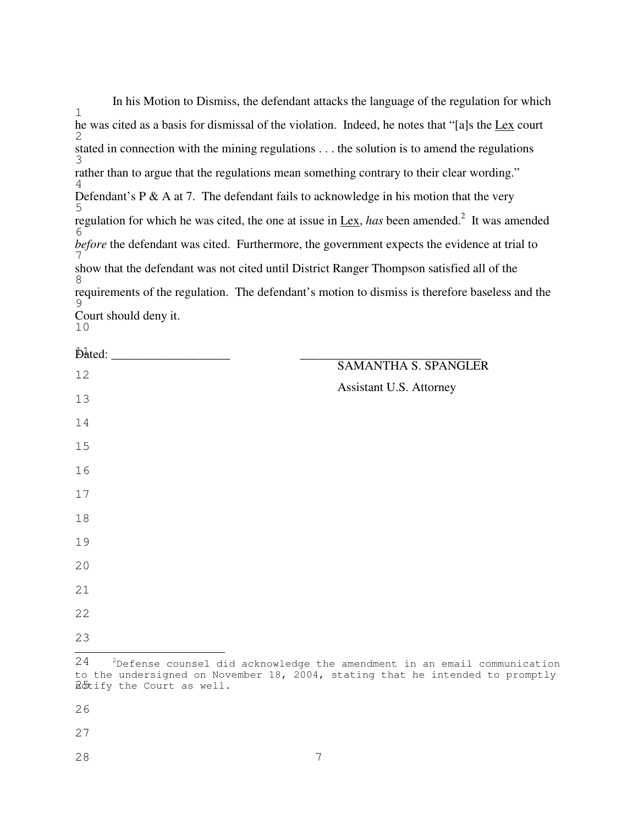In his Motion to Dismiss, the defendant attacks the language of the regulation for which he was cited as a basis for dismissal of the violation. Indeed, he notes that "[a]s the Lex court stated in connection with the mining regulations . . . the solution is to amend the regulations rather than to argue that the regulations mean something contrary to their clear wording." Defendant's P  $\&$  A at 7. The defendant fails to acknowledge in his motion that the very regulation for which he was cited, the one at issue in Lex, *has* been amended.<sup>2</sup> It was amended *before* the defendant was cited. Furthermore, the government expects the evidence at trial to show that the defendant was not cited until District Ranger Thompson satisfied all of the requirements of the regulation. The defendant's motion to dismiss is therefore baseless and the Court should deny it.

|    | $\beta$ bated: $\qquad \qquad$ |  |                                                                             |                             |  |  |  |
|----|--------------------------------|--|-----------------------------------------------------------------------------|-----------------------------|--|--|--|
| 12 |                                |  |                                                                             | <b>SAMANTHA S. SPANGLER</b> |  |  |  |
| 13 |                                |  |                                                                             | Assistant U.S. Attorney     |  |  |  |
| 14 |                                |  |                                                                             |                             |  |  |  |
| 15 |                                |  |                                                                             |                             |  |  |  |
| 16 |                                |  |                                                                             |                             |  |  |  |
| 17 |                                |  |                                                                             |                             |  |  |  |
| 18 |                                |  |                                                                             |                             |  |  |  |
| 19 |                                |  |                                                                             |                             |  |  |  |
| 20 |                                |  |                                                                             |                             |  |  |  |
| 21 |                                |  |                                                                             |                             |  |  |  |
| 22 |                                |  |                                                                             |                             |  |  |  |
| 23 |                                |  |                                                                             |                             |  |  |  |
| 24 |                                |  | $2$ Defense counsel did acknowledge the amendment in an email communication |                             |  |  |  |

adtify the Court as well. to the undersigned on November 18, 2004, stating that he intended to promptly